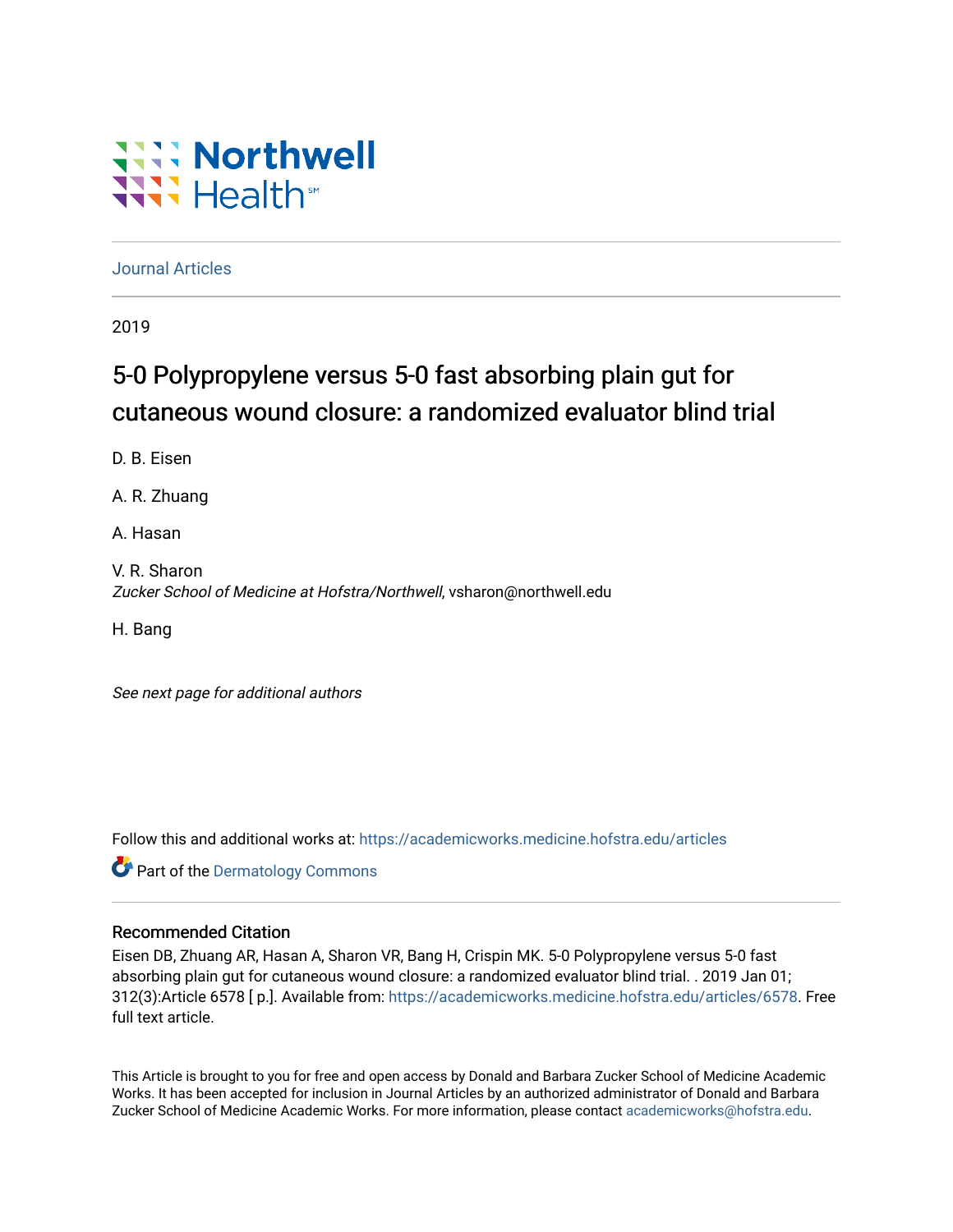# **Will Northwell** Wilh<sup>st</sup>

[Journal Articles](https://academicworks.medicine.hofstra.edu/articles) 

2019

## 5-0 Polypropylene versus 5-0 fast absorbing plain gut for cutaneous wound closure: a randomized evaluator blind trial

D. B. Eisen

A. R. Zhuang

A. Hasan

V. R. Sharon Zucker School of Medicine at Hofstra/Northwell, vsharon@northwell.edu

H. Bang

See next page for additional authors

Follow this and additional works at: [https://academicworks.medicine.hofstra.edu/articles](https://academicworks.medicine.hofstra.edu/articles?utm_source=academicworks.medicine.hofstra.edu%2Farticles%2F6578&utm_medium=PDF&utm_campaign=PDFCoverPages)

**Part of the Dermatology Commons** 

#### Recommended Citation

Eisen DB, Zhuang AR, Hasan A, Sharon VR, Bang H, Crispin MK. 5-0 Polypropylene versus 5-0 fast absorbing plain gut for cutaneous wound closure: a randomized evaluator blind trial. . 2019 Jan 01; 312(3):Article 6578 [ p.]. Available from: [https://academicworks.medicine.hofstra.edu/articles/6578.](https://academicworks.medicine.hofstra.edu/articles/6578?utm_source=academicworks.medicine.hofstra.edu%2Farticles%2F6578&utm_medium=PDF&utm_campaign=PDFCoverPages) Free full text article.

This Article is brought to you for free and open access by Donald and Barbara Zucker School of Medicine Academic Works. It has been accepted for inclusion in Journal Articles by an authorized administrator of Donald and Barbara Zucker School of Medicine Academic Works. For more information, please contact [academicworks@hofstra.edu](mailto:academicworks@hofstra.edu).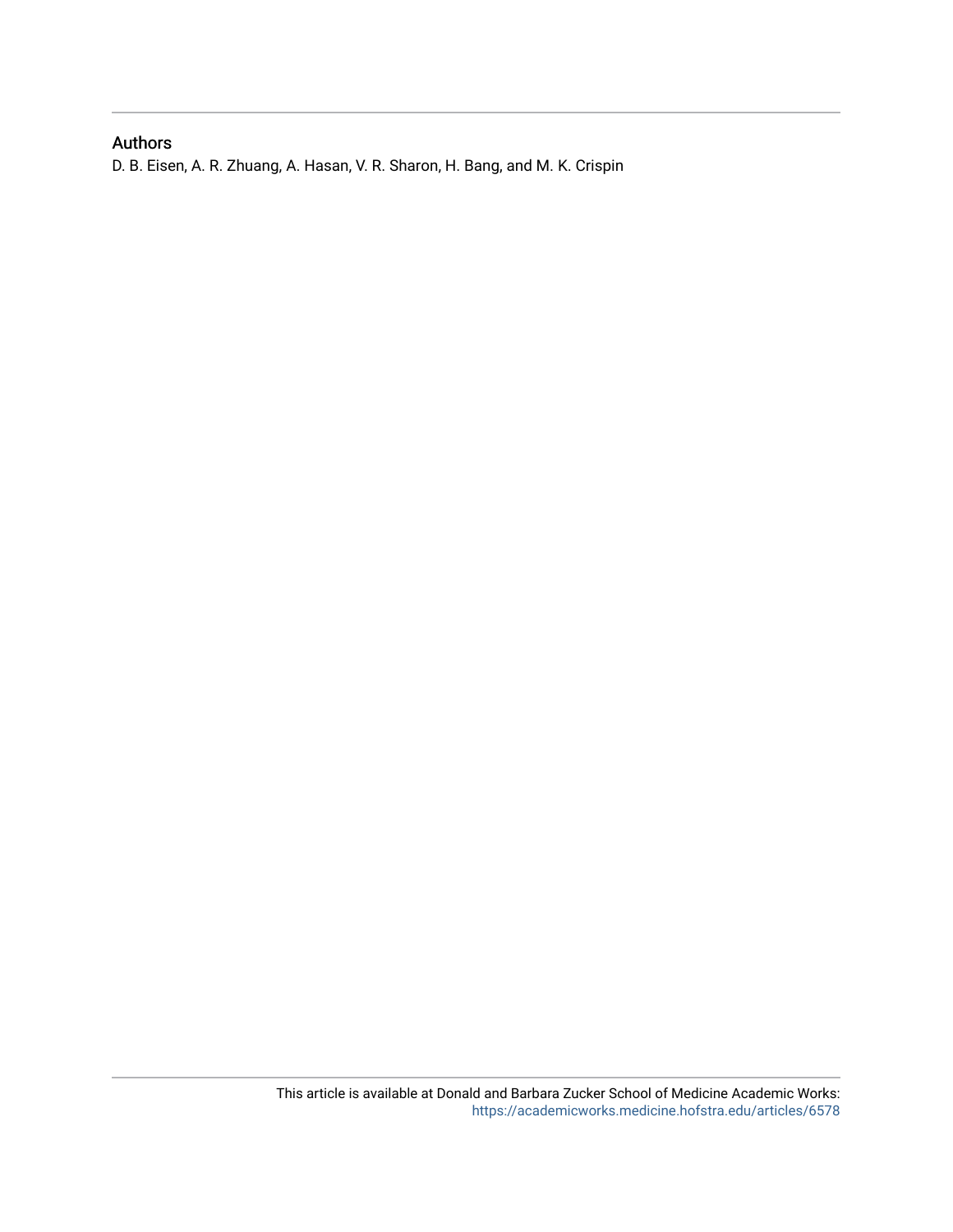## Authors

D. B. Eisen, A. R. Zhuang, A. Hasan, V. R. Sharon, H. Bang, and M. K. Crispin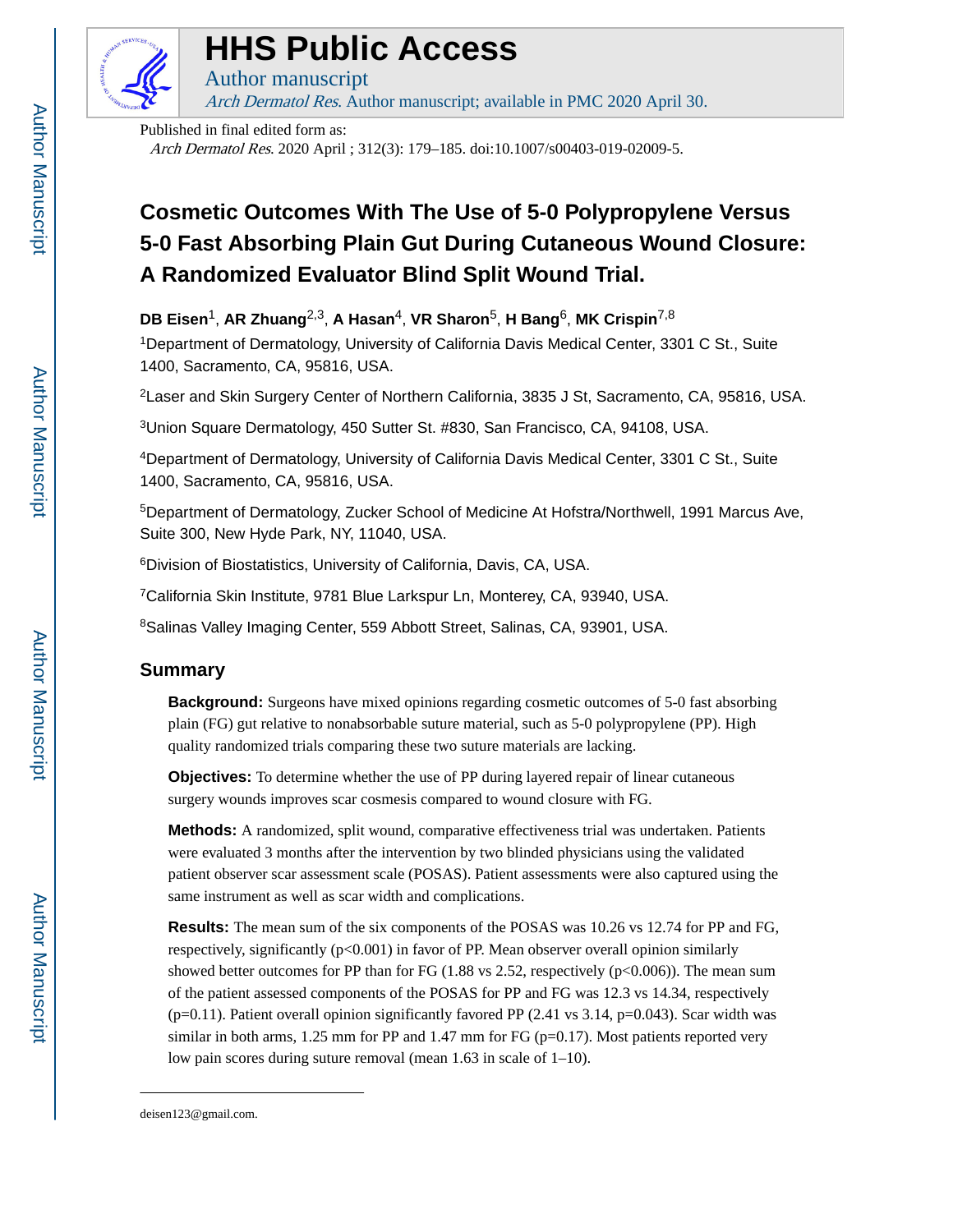

# **HHS Public Access**

Author manuscript Arch Dermatol Res. Author manuscript; available in PMC 2020 April 30.

Published in final edited form as:

Arch Dermatol Res. 2020 April ; 312(3): 179–185. doi:10.1007/s00403-019-02009-5.

## **Cosmetic Outcomes With The Use of 5-0 Polypropylene Versus 5-0 Fast Absorbing Plain Gut During Cutaneous Wound Closure: A Randomized Evaluator Blind Split Wound Trial.**

**DB Eisen**1, **AR Zhuang**2,3, **A Hasan**4, **VR Sharon**5, **H Bang**6, **MK Crispin**7,8

<sup>1</sup>Department of Dermatology, University of California Davis Medical Center, 3301 C St., Suite 1400, Sacramento, CA, 95816, USA.

<sup>2</sup> Laser and Skin Surgery Center of Northern California, 3835 J St, Sacramento, CA, 95816, USA.

<sup>3</sup>Union Square Dermatology, 450 Sutter St. #830, San Francisco, CA, 94108, USA.

<sup>4</sup>Department of Dermatology, University of California Davis Medical Center, 3301 C St., Suite 1400, Sacramento, CA, 95816, USA.

<sup>5</sup>Department of Dermatology, Zucker School of Medicine At Hofstra/Northwell, 1991 Marcus Ave, Suite 300, New Hyde Park, NY, 11040, USA.

<sup>6</sup>Division of Biostatistics, University of California, Davis, CA, USA.

<sup>7</sup>California Skin Institute, 9781 Blue Larkspur Ln, Monterey, CA, 93940, USA.

8Salinas Valley Imaging Center, 559 Abbott Street, Salinas, CA, 93901, USA.

## **Summary**

**Background:** Surgeons have mixed opinions regarding cosmetic outcomes of 5-0 fast absorbing plain (FG) gut relative to nonabsorbable suture material, such as 5-0 polypropylene (PP). High quality randomized trials comparing these two suture materials are lacking.

**Objectives:** To determine whether the use of PP during layered repair of linear cutaneous surgery wounds improves scar cosmesis compared to wound closure with FG.

**Methods:** A randomized, split wound, comparative effectiveness trial was undertaken. Patients were evaluated 3 months after the intervention by two blinded physicians using the validated patient observer scar assessment scale (POSAS). Patient assessments were also captured using the same instrument as well as scar width and complications.

**Results:** The mean sum of the six components of the POSAS was 10.26 vs 12.74 for PP and FG, respectively, significantly (p<0.001) in favor of PP. Mean observer overall opinion similarly showed better outcomes for PP than for FG  $(1.88 \text{ vs } 2.52, \text{ respectively } (p<0.006))$ . The mean sum of the patient assessed components of the POSAS for PP and FG was 12.3 vs 14.34, respectively  $(p=0.11)$ . Patient overall opinion significantly favored PP (2.41 vs 3.14, p=0.043). Scar width was similar in both arms,  $1.25$  mm for PP and  $1.47$  mm for FG ( $p=0.17$ ). Most patients reported very low pain scores during suture removal (mean 1.63 in scale of 1–10).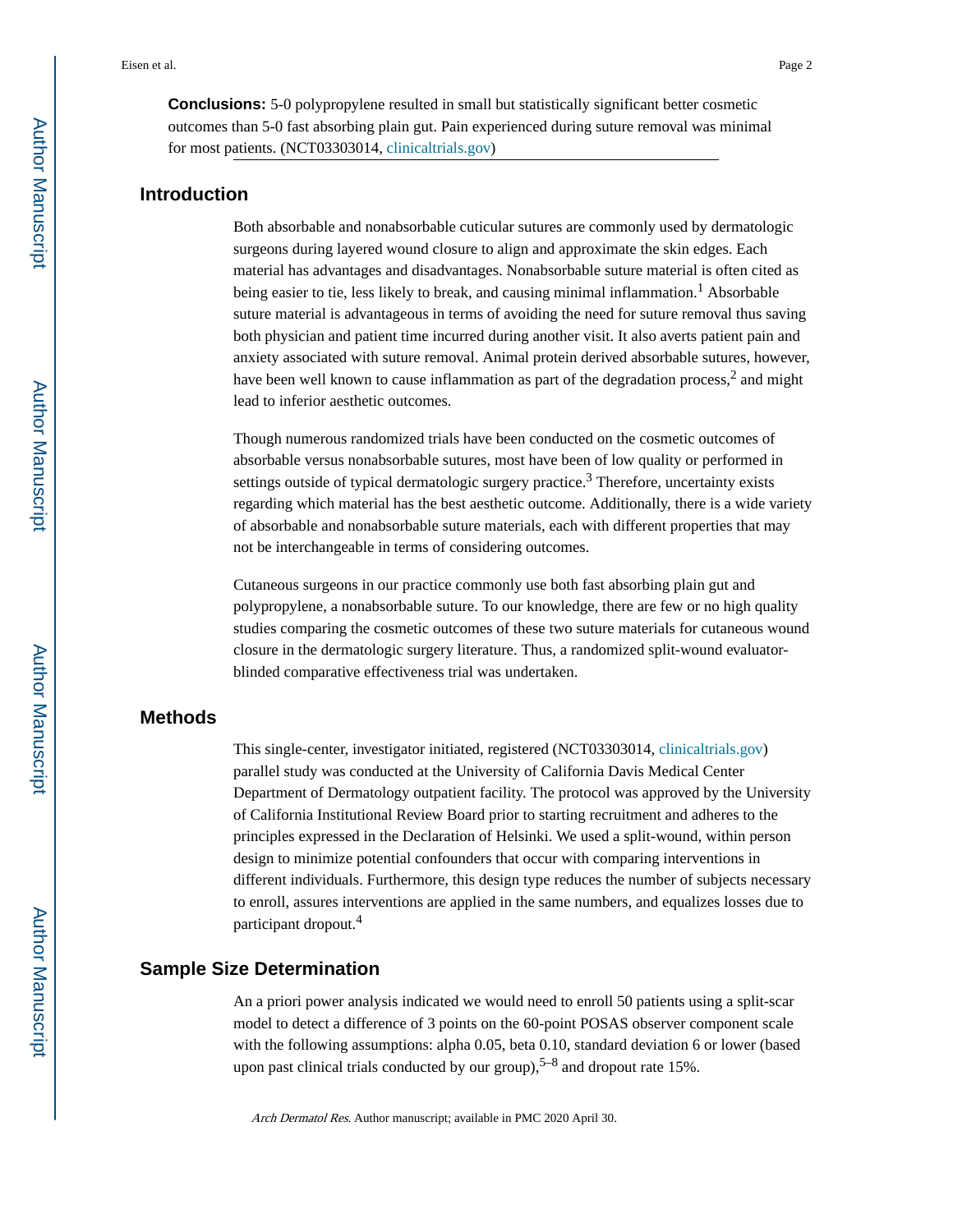**Conclusions:** 5-0 polypropylene resulted in small but statistically significant better cosmetic outcomes than 5-0 fast absorbing plain gut. Pain experienced during suture removal was minimal for most patients. (NCT03303014, [clinicaltrials.gov](http://clinicaltrials.gov))

### **Introduction**

Both absorbable and nonabsorbable cuticular sutures are commonly used by dermatologic surgeons during layered wound closure to align and approximate the skin edges. Each material has advantages and disadvantages. Nonabsorbable suture material is often cited as being easier to tie, less likely to break, and causing minimal inflammation.<sup>1</sup> Absorbable suture material is advantageous in terms of avoiding the need for suture removal thus saving both physician and patient time incurred during another visit. It also averts patient pain and anxiety associated with suture removal. Animal protein derived absorbable sutures, however, have been well known to cause inflammation as part of the degradation process,<sup>2</sup> and might lead to inferior aesthetic outcomes.

Though numerous randomized trials have been conducted on the cosmetic outcomes of absorbable versus nonabsorbable sutures, most have been of low quality or performed in settings outside of typical dermatologic surgery practice.<sup>3</sup> Therefore, uncertainty exists regarding which material has the best aesthetic outcome. Additionally, there is a wide variety of absorbable and nonabsorbable suture materials, each with different properties that may not be interchangeable in terms of considering outcomes.

Cutaneous surgeons in our practice commonly use both fast absorbing plain gut and polypropylene, a nonabsorbable suture. To our knowledge, there are few or no high quality studies comparing the cosmetic outcomes of these two suture materials for cutaneous wound closure in the dermatologic surgery literature. Thus, a randomized split-wound evaluatorblinded comparative effectiveness trial was undertaken.

## **Methods**

This single-center, investigator initiated, registered (NCT03303014, [clinicaltrials.gov](http://clinicaltrials.gov)) parallel study was conducted at the University of California Davis Medical Center Department of Dermatology outpatient facility. The protocol was approved by the University of California Institutional Review Board prior to starting recruitment and adheres to the principles expressed in the Declaration of Helsinki. We used a split-wound, within person design to minimize potential confounders that occur with comparing interventions in different individuals. Furthermore, this design type reduces the number of subjects necessary to enroll, assures interventions are applied in the same numbers, and equalizes losses due to participant dropout.<sup>4</sup>

#### **Sample Size Determination**

An a priori power analysis indicated we would need to enroll 50 patients using a split-scar model to detect a difference of 3 points on the 60-point POSAS observer component scale with the following assumptions: alpha 0.05, beta 0.10, standard deviation 6 or lower (based upon past clinical trials conducted by our group),  $5-8$  and dropout rate 15%.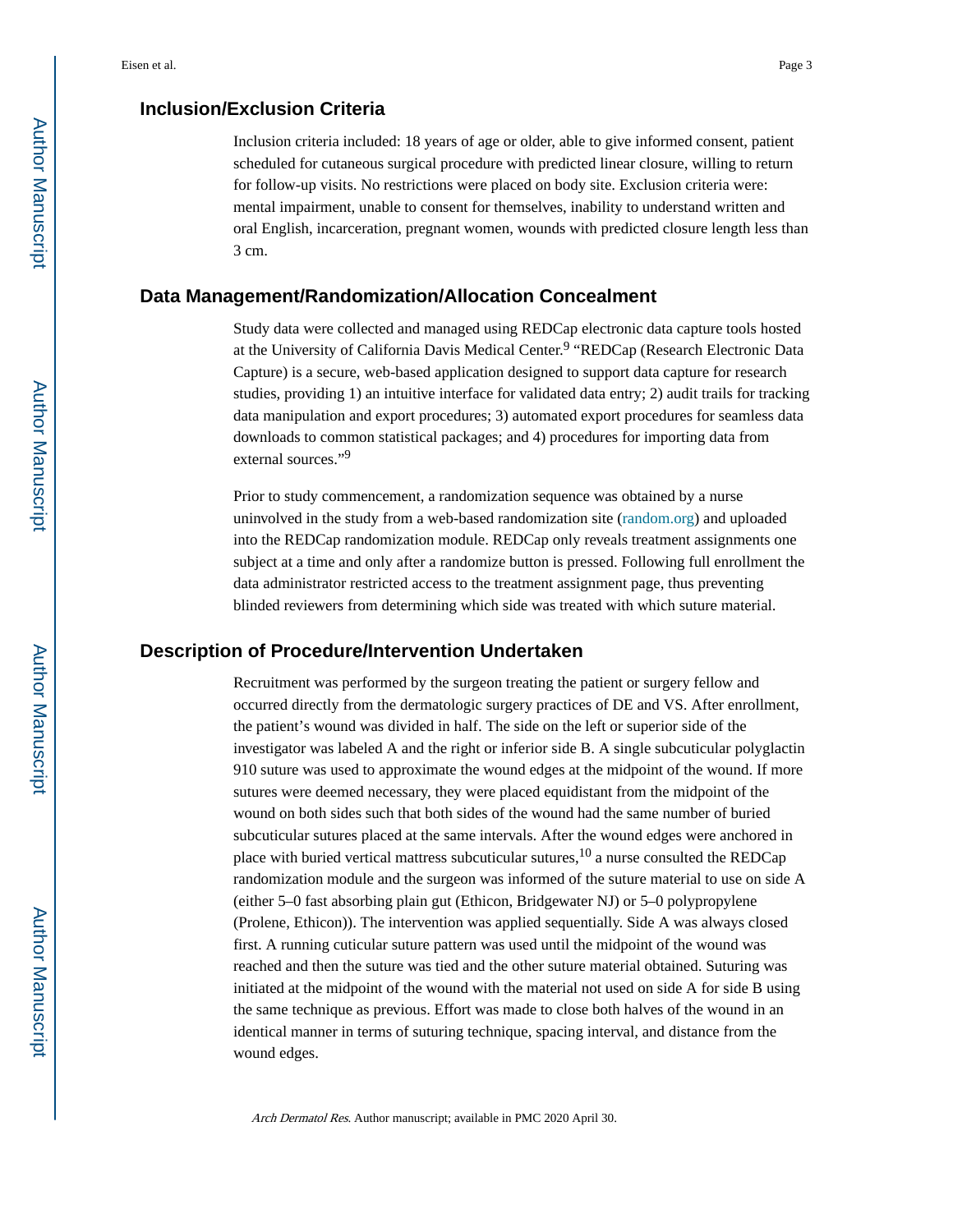## **Inclusion/Exclusion Criteria**

Inclusion criteria included: 18 years of age or older, able to give informed consent, patient scheduled for cutaneous surgical procedure with predicted linear closure, willing to return for follow-up visits. No restrictions were placed on body site. Exclusion criteria were: mental impairment, unable to consent for themselves, inability to understand written and oral English, incarceration, pregnant women, wounds with predicted closure length less than 3 cm.

#### **Data Management/Randomization/Allocation Concealment**

Study data were collected and managed using REDCap electronic data capture tools hosted at the University of California Davis Medical Center.<sup>9</sup> "REDCap (Research Electronic Data Capture) is a secure, web-based application designed to support data capture for research studies, providing 1) an intuitive interface for validated data entry; 2) audit trails for tracking data manipulation and export procedures; 3) automated export procedures for seamless data downloads to common statistical packages; and 4) procedures for importing data from external sources."<sup>9</sup>

Prior to study commencement, a randomization sequence was obtained by a nurse uninvolved in the study from a web-based randomization site [\(random.org](http://random.org)) and uploaded into the REDCap randomization module. REDCap only reveals treatment assignments one subject at a time and only after a randomize button is pressed. Following full enrollment the data administrator restricted access to the treatment assignment page, thus preventing blinded reviewers from determining which side was treated with which suture material.

## **Description of Procedure/Intervention Undertaken**

Recruitment was performed by the surgeon treating the patient or surgery fellow and occurred directly from the dermatologic surgery practices of DE and VS. After enrollment, the patient's wound was divided in half. The side on the left or superior side of the investigator was labeled A and the right or inferior side B. A single subcuticular polyglactin 910 suture was used to approximate the wound edges at the midpoint of the wound. If more sutures were deemed necessary, they were placed equidistant from the midpoint of the wound on both sides such that both sides of the wound had the same number of buried subcuticular sutures placed at the same intervals. After the wound edges were anchored in place with buried vertical mattress subcuticular sutures,  $10$  a nurse consulted the REDCap randomization module and the surgeon was informed of the suture material to use on side A (either 5–0 fast absorbing plain gut (Ethicon, Bridgewater NJ) or 5–0 polypropylene (Prolene, Ethicon)). The intervention was applied sequentially. Side A was always closed first. A running cuticular suture pattern was used until the midpoint of the wound was reached and then the suture was tied and the other suture material obtained. Suturing was initiated at the midpoint of the wound with the material not used on side A for side B using the same technique as previous. Effort was made to close both halves of the wound in an identical manner in terms of suturing technique, spacing interval, and distance from the wound edges.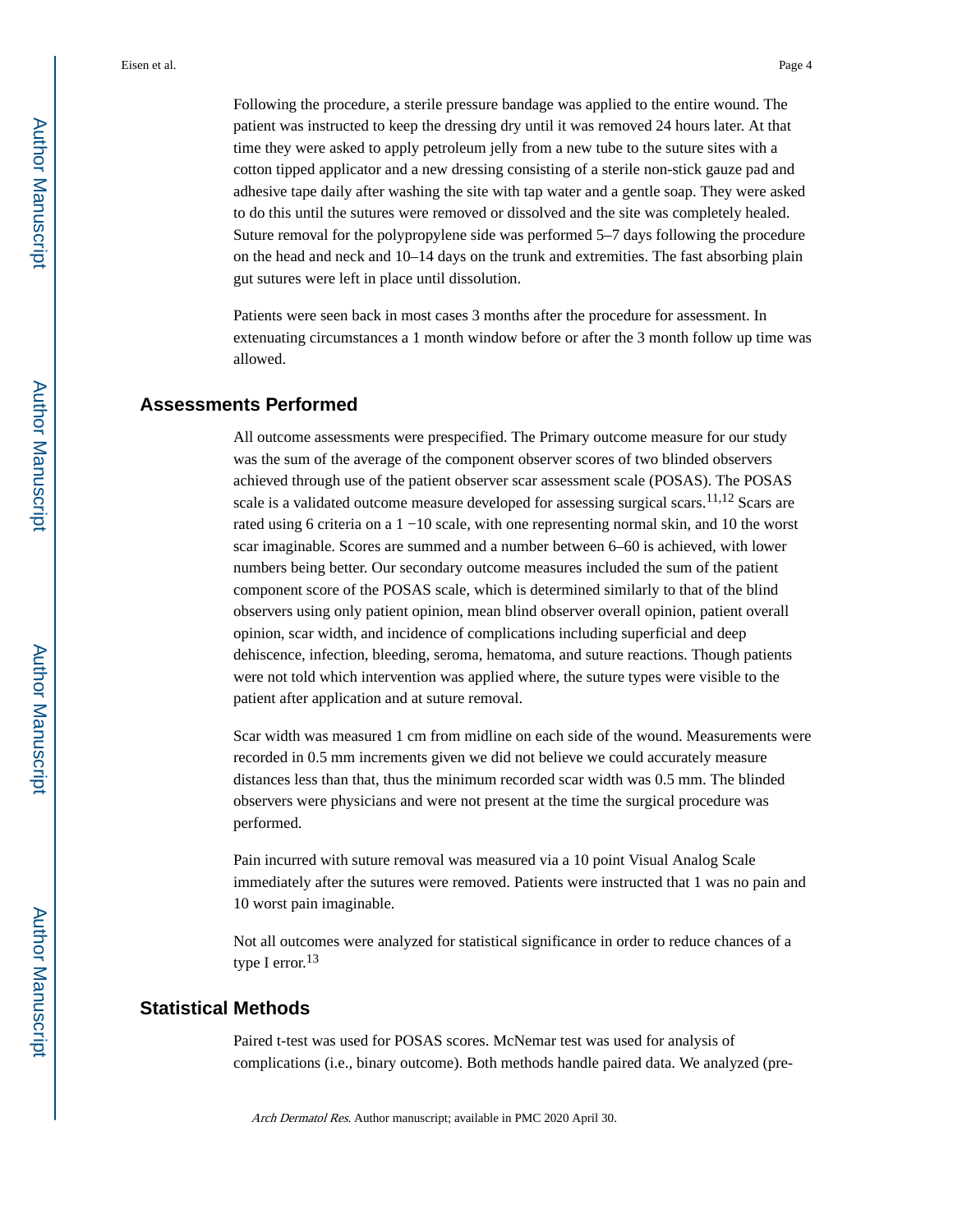Following the procedure, a sterile pressure bandage was applied to the entire wound. The patient was instructed to keep the dressing dry until it was removed 24 hours later. At that time they were asked to apply petroleum jelly from a new tube to the suture sites with a cotton tipped applicator and a new dressing consisting of a sterile non-stick gauze pad and adhesive tape daily after washing the site with tap water and a gentle soap. They were asked to do this until the sutures were removed or dissolved and the site was completely healed. Suture removal for the polypropylene side was performed 5–7 days following the procedure on the head and neck and 10–14 days on the trunk and extremities. The fast absorbing plain gut sutures were left in place until dissolution.

Patients were seen back in most cases 3 months after the procedure for assessment. In extenuating circumstances a 1 month window before or after the 3 month follow up time was allowed.

### **Assessments Performed**

All outcome assessments were prespecified. The Primary outcome measure for our study was the sum of the average of the component observer scores of two blinded observers achieved through use of the patient observer scar assessment scale (POSAS). The POSAS scale is a validated outcome measure developed for assessing surgical scars.<sup>11,12</sup> Scars are rated using 6 criteria on a 1 −10 scale, with one representing normal skin, and 10 the worst scar imaginable. Scores are summed and a number between 6–60 is achieved, with lower numbers being better. Our secondary outcome measures included the sum of the patient component score of the POSAS scale, which is determined similarly to that of the blind observers using only patient opinion, mean blind observer overall opinion, patient overall opinion, scar width, and incidence of complications including superficial and deep dehiscence, infection, bleeding, seroma, hematoma, and suture reactions. Though patients were not told which intervention was applied where, the suture types were visible to the patient after application and at suture removal.

Scar width was measured 1 cm from midline on each side of the wound. Measurements were recorded in 0.5 mm increments given we did not believe we could accurately measure distances less than that, thus the minimum recorded scar width was 0.5 mm. The blinded observers were physicians and were not present at the time the surgical procedure was performed.

Pain incurred with suture removal was measured via a 10 point Visual Analog Scale immediately after the sutures were removed. Patients were instructed that 1 was no pain and 10 worst pain imaginable.

Not all outcomes were analyzed for statistical significance in order to reduce chances of a type I error.<sup>13</sup>

#### **Statistical Methods**

Paired t-test was used for POSAS scores. McNemar test was used for analysis of complications (i.e., binary outcome). Both methods handle paired data. We analyzed (pre-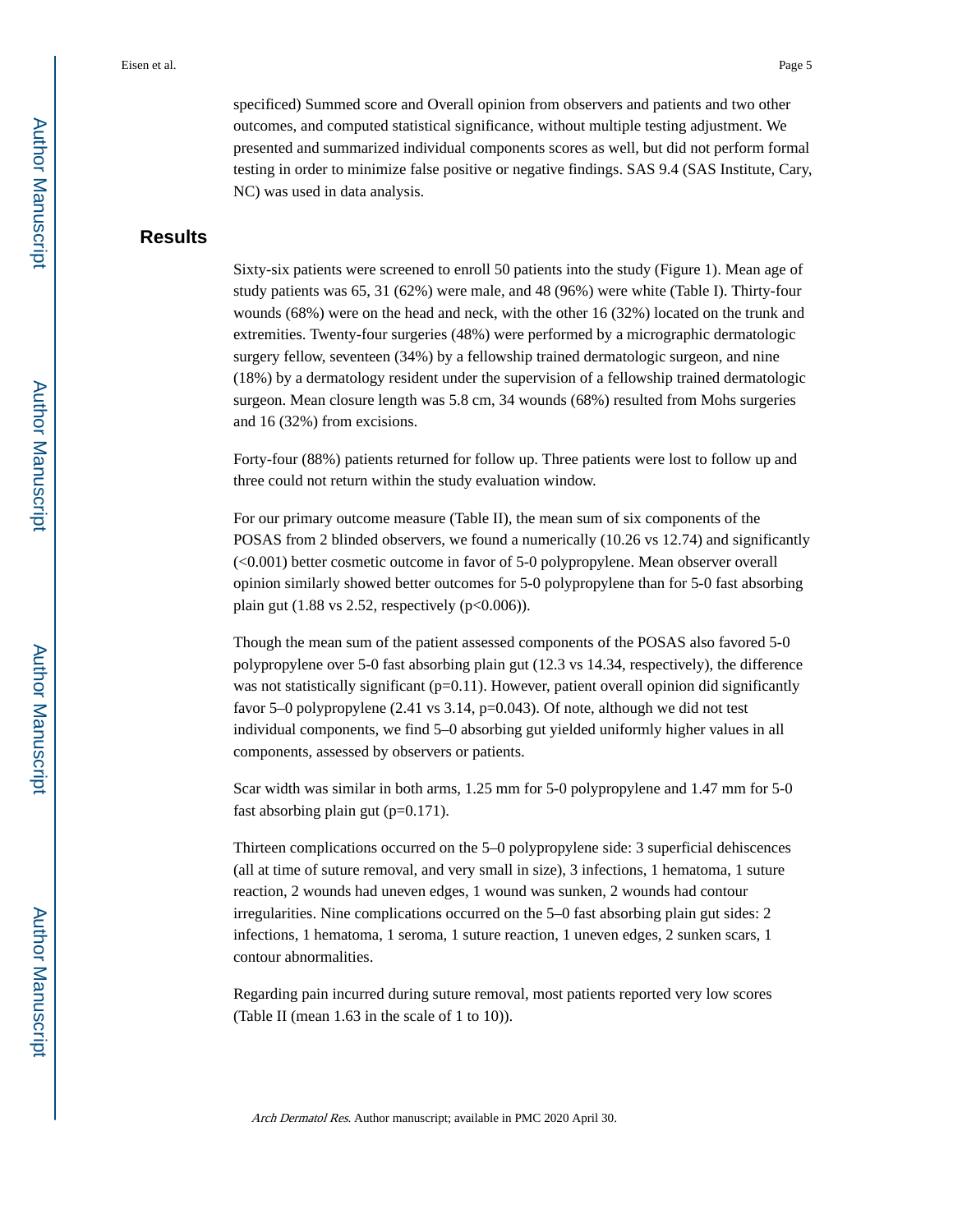specificed) Summed score and Overall opinion from observers and patients and two other outcomes, and computed statistical significance, without multiple testing adjustment. We presented and summarized individual components scores as well, but did not perform formal testing in order to minimize false positive or negative findings. SAS 9.4 (SAS Institute, Cary, NC) was used in data analysis.

## **Results**

Sixty-six patients were screened to enroll 50 patients into the study (Figure 1). Mean age of study patients was 65, 31 (62%) were male, and 48 (96%) were white (Table I). Thirty-four wounds (68%) were on the head and neck, with the other 16 (32%) located on the trunk and extremities. Twenty-four surgeries (48%) were performed by a micrographic dermatologic surgery fellow, seventeen (34%) by a fellowship trained dermatologic surgeon, and nine (18%) by a dermatology resident under the supervision of a fellowship trained dermatologic surgeon. Mean closure length was 5.8 cm, 34 wounds (68%) resulted from Mohs surgeries and 16 (32%) from excisions.

Forty-four (88%) patients returned for follow up. Three patients were lost to follow up and three could not return within the study evaluation window.

For our primary outcome measure (Table II), the mean sum of six components of the POSAS from 2 blinded observers, we found a numerically (10.26 vs 12.74) and significantly (<0.001) better cosmetic outcome in favor of 5-0 polypropylene. Mean observer overall opinion similarly showed better outcomes for 5-0 polypropylene than for 5-0 fast absorbing plain gut  $(1.88 \text{ vs } 2.52, \text{ respectively } (p<0.006)).$ 

Though the mean sum of the patient assessed components of the POSAS also favored 5-0 polypropylene over 5-0 fast absorbing plain gut (12.3 vs 14.34, respectively), the difference was not statistically significant  $(p=0.11)$ . However, patient overall opinion did significantly favor 5–0 polypropylene (2.41 vs 3.14, p=0.043). Of note, although we did not test individual components, we find 5–0 absorbing gut yielded uniformly higher values in all components, assessed by observers or patients.

Scar width was similar in both arms, 1.25 mm for 5-0 polypropylene and 1.47 mm for 5-0 fast absorbing plain gut (p=0.171).

Thirteen complications occurred on the 5–0 polypropylene side: 3 superficial dehiscences (all at time of suture removal, and very small in size), 3 infections, 1 hematoma, 1 suture reaction, 2 wounds had uneven edges, 1 wound was sunken, 2 wounds had contour irregularities. Nine complications occurred on the 5–0 fast absorbing plain gut sides: 2 infections, 1 hematoma, 1 seroma, 1 suture reaction, 1 uneven edges, 2 sunken scars, 1 contour abnormalities.

Regarding pain incurred during suture removal, most patients reported very low scores (Table II (mean 1.63 in the scale of 1 to 10)).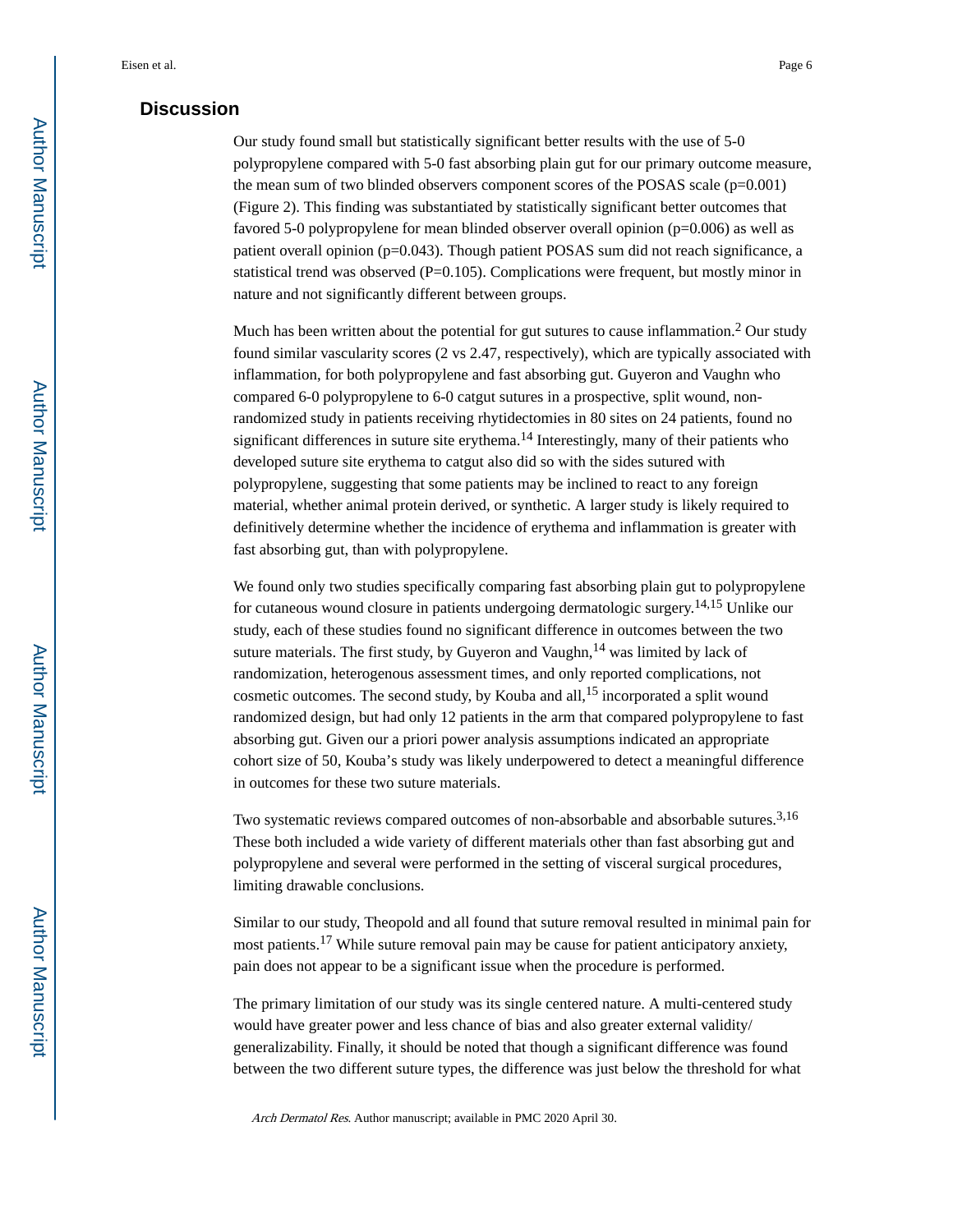### **Discussion**

Our study found small but statistically significant better results with the use of 5-0 polypropylene compared with 5-0 fast absorbing plain gut for our primary outcome measure, the mean sum of two blinded observers component scores of the POSAS scale  $(p=0.001)$ (Figure 2). This finding was substantiated by statistically significant better outcomes that favored 5-0 polypropylene for mean blinded observer overall opinion (p=0.006) as well as patient overall opinion (p=0.043). Though patient POSAS sum did not reach significance, a statistical trend was observed (P=0.105). Complications were frequent, but mostly minor in nature and not significantly different between groups.

Much has been written about the potential for gut sutures to cause inflammation.<sup>2</sup> Our study found similar vascularity scores (2 vs 2.47, respectively), which are typically associated with inflammation, for both polypropylene and fast absorbing gut. Guyeron and Vaughn who compared 6-0 polypropylene to 6-0 catgut sutures in a prospective, split wound, nonrandomized study in patients receiving rhytidectomies in 80 sites on 24 patients, found no significant differences in suture site erythema.<sup>14</sup> Interestingly, many of their patients who developed suture site erythema to catgut also did so with the sides sutured with polypropylene, suggesting that some patients may be inclined to react to any foreign material, whether animal protein derived, or synthetic. A larger study is likely required to definitively determine whether the incidence of erythema and inflammation is greater with fast absorbing gut, than with polypropylene.

We found only two studies specifically comparing fast absorbing plain gut to polypropylene for cutaneous wound closure in patients undergoing dermatologic surgery.14,15 Unlike our study, each of these studies found no significant difference in outcomes between the two suture materials. The first study, by Guyeron and Vaughn,  $14$  was limited by lack of randomization, heterogenous assessment times, and only reported complications, not cosmetic outcomes. The second study, by Kouba and all,  $15$  incorporated a split wound randomized design, but had only 12 patients in the arm that compared polypropylene to fast absorbing gut. Given our a priori power analysis assumptions indicated an appropriate cohort size of 50, Kouba's study was likely underpowered to detect a meaningful difference in outcomes for these two suture materials.

Two systematic reviews compared outcomes of non-absorbable and absorbable sutures.3,16 These both included a wide variety of different materials other than fast absorbing gut and polypropylene and several were performed in the setting of visceral surgical procedures, limiting drawable conclusions.

Similar to our study, Theopold and all found that suture removal resulted in minimal pain for most patients.17 While suture removal pain may be cause for patient anticipatory anxiety, pain does not appear to be a significant issue when the procedure is performed.

The primary limitation of our study was its single centered nature. A multi-centered study would have greater power and less chance of bias and also greater external validity/ generalizability. Finally, it should be noted that though a significant difference was found between the two different suture types, the difference was just below the threshold for what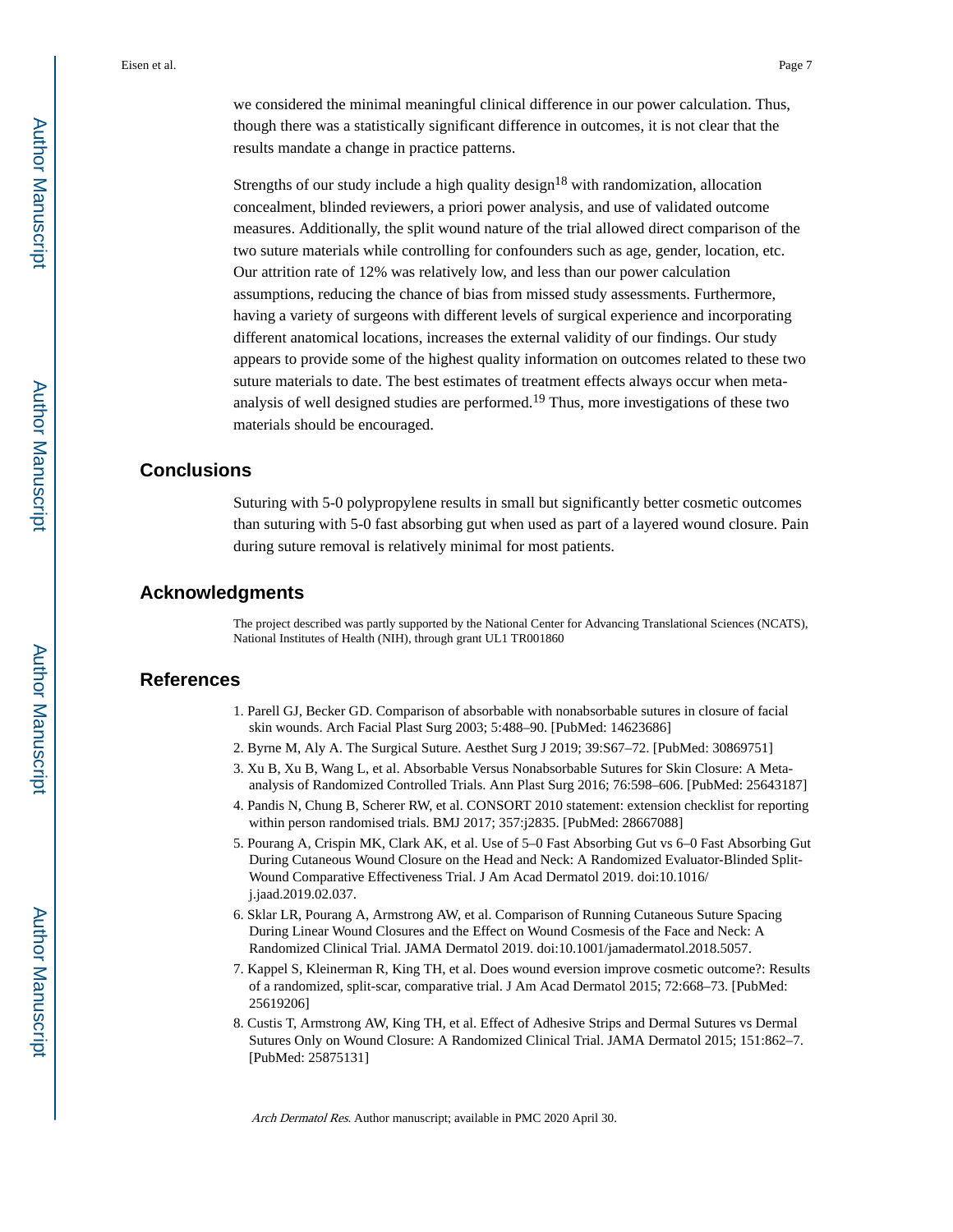Eisen et al. Page 7

we considered the minimal meaningful clinical difference in our power calculation. Thus, though there was a statistically significant difference in outcomes, it is not clear that the results mandate a change in practice patterns.

Strengths of our study include a high quality design<sup>18</sup> with randomization, allocation concealment, blinded reviewers, a priori power analysis, and use of validated outcome measures. Additionally, the split wound nature of the trial allowed direct comparison of the two suture materials while controlling for confounders such as age, gender, location, etc. Our attrition rate of 12% was relatively low, and less than our power calculation assumptions, reducing the chance of bias from missed study assessments. Furthermore, having a variety of surgeons with different levels of surgical experience and incorporating different anatomical locations, increases the external validity of our findings. Our study appears to provide some of the highest quality information on outcomes related to these two suture materials to date. The best estimates of treatment effects always occur when metaanalysis of well designed studies are performed.19 Thus, more investigations of these two materials should be encouraged.

## **Conclusions**

Suturing with 5-0 polypropylene results in small but significantly better cosmetic outcomes than suturing with 5-0 fast absorbing gut when used as part of a layered wound closure. Pain during suture removal is relatively minimal for most patients.

#### **Acknowledgments**

The project described was partly supported by the National Center for Advancing Translational Sciences (NCATS), National Institutes of Health (NIH), through grant UL1 TR001860

#### **References**

- 1. Parell GJ, Becker GD. Comparison of absorbable with nonabsorbable sutures in closure of facial skin wounds. Arch Facial Plast Surg 2003; 5:488–90. [PubMed: 14623686]
- 2. Byrne M, Aly A. The Surgical Suture. Aesthet Surg J 2019; 39:S67–72. [PubMed: 30869751]
- 3. Xu B, Xu B, Wang L, et al. Absorbable Versus Nonabsorbable Sutures for Skin Closure: A Metaanalysis of Randomized Controlled Trials. Ann Plast Surg 2016; 76:598–606. [PubMed: 25643187]
- 4. Pandis N, Chung B, Scherer RW, et al. CONSORT 2010 statement: extension checklist for reporting within person randomised trials. BMJ 2017; 357:j2835. [PubMed: 28667088]
- 5. Pourang A, Crispin MK, Clark AK, et al. Use of 5–0 Fast Absorbing Gut vs 6–0 Fast Absorbing Gut During Cutaneous Wound Closure on the Head and Neck: A Randomized Evaluator-Blinded Split-Wound Comparative Effectiveness Trial. J Am Acad Dermatol 2019. doi:10.1016/ j.jaad.2019.02.037.
- 6. Sklar LR, Pourang A, Armstrong AW, et al. Comparison of Running Cutaneous Suture Spacing During Linear Wound Closures and the Effect on Wound Cosmesis of the Face and Neck: A Randomized Clinical Trial. JAMA Dermatol 2019. doi:10.1001/jamadermatol.2018.5057.
- 7. Kappel S, Kleinerman R, King TH, et al. Does wound eversion improve cosmetic outcome?: Results of a randomized, split-scar, comparative trial. J Am Acad Dermatol 2015; 72:668–73. [PubMed: 25619206]
- 8. Custis T, Armstrong AW, King TH, et al. Effect of Adhesive Strips and Dermal Sutures vs Dermal Sutures Only on Wound Closure: A Randomized Clinical Trial. JAMA Dermatol 2015; 151:862–7. [PubMed: 25875131]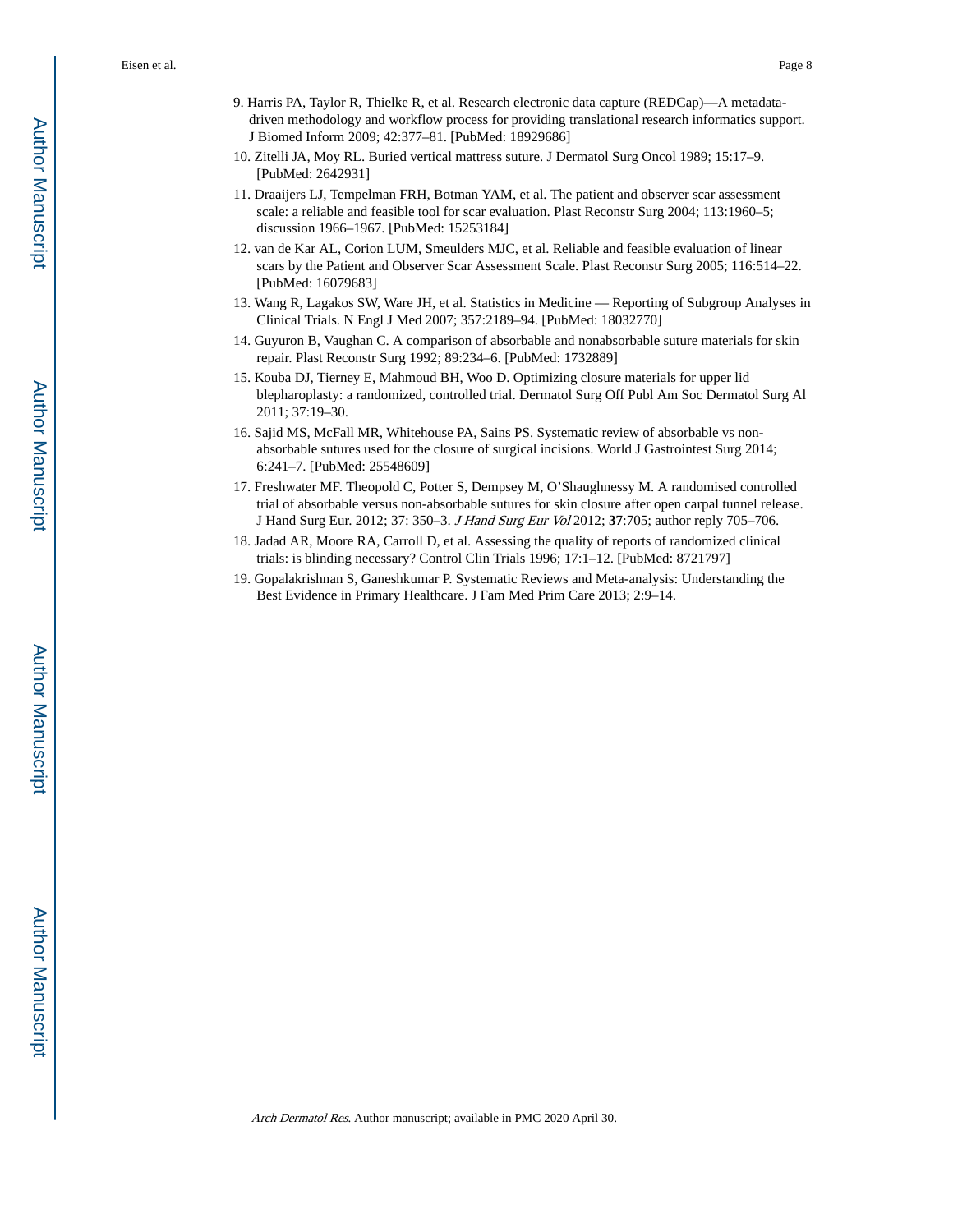Eisen et al. Page 8

- 9. Harris PA, Taylor R, Thielke R, et al. Research electronic data capture (REDCap)—A metadatadriven methodology and workflow process for providing translational research informatics support. J Biomed Inform 2009; 42:377–81. [PubMed: 18929686]
- 10. Zitelli JA, Moy RL. Buried vertical mattress suture. J Dermatol Surg Oncol 1989; 15:17–9. [PubMed: 2642931]
- 11. Draaijers LJ, Tempelman FRH, Botman YAM, et al. The patient and observer scar assessment scale: a reliable and feasible tool for scar evaluation. Plast Reconstr Surg 2004; 113:1960–5; discussion 1966–1967. [PubMed: 15253184]
- 12. van de Kar AL, Corion LUM, Smeulders MJC, et al. Reliable and feasible evaluation of linear scars by the Patient and Observer Scar Assessment Scale. Plast Reconstr Surg 2005; 116:514–22. [PubMed: 16079683]
- 13. Wang R, Lagakos SW, Ware JH, et al. Statistics in Medicine Reporting of Subgroup Analyses in Clinical Trials. N Engl J Med 2007; 357:2189–94. [PubMed: 18032770]
- 14. Guyuron B, Vaughan C. A comparison of absorbable and nonabsorbable suture materials for skin repair. Plast Reconstr Surg 1992; 89:234–6. [PubMed: 1732889]
- 15. Kouba DJ, Tierney E, Mahmoud BH, Woo D. Optimizing closure materials for upper lid blepharoplasty: a randomized, controlled trial. Dermatol Surg Off Publ Am Soc Dermatol Surg Al 2011; 37:19–30.
- 16. Sajid MS, McFall MR, Whitehouse PA, Sains PS. Systematic review of absorbable vs nonabsorbable sutures used for the closure of surgical incisions. World J Gastrointest Surg 2014; 6:241–7. [PubMed: 25548609]
- 17. Freshwater MF. Theopold C, Potter S, Dempsey M, O'Shaughnessy M. A randomised controlled trial of absorbable versus non-absorbable sutures for skin closure after open carpal tunnel release. J Hand Surg Eur. 2012; 37: 350–3. J Hand Surg Eur Vol 2012; **37**:705; author reply 705–706.
- 18. Jadad AR, Moore RA, Carroll D, et al. Assessing the quality of reports of randomized clinical trials: is blinding necessary? Control Clin Trials 1996; 17:1–12. [PubMed: 8721797]
- 19. Gopalakrishnan S, Ganeshkumar P. Systematic Reviews and Meta-analysis: Understanding the Best Evidence in Primary Healthcare. J Fam Med Prim Care 2013; 2:9–14.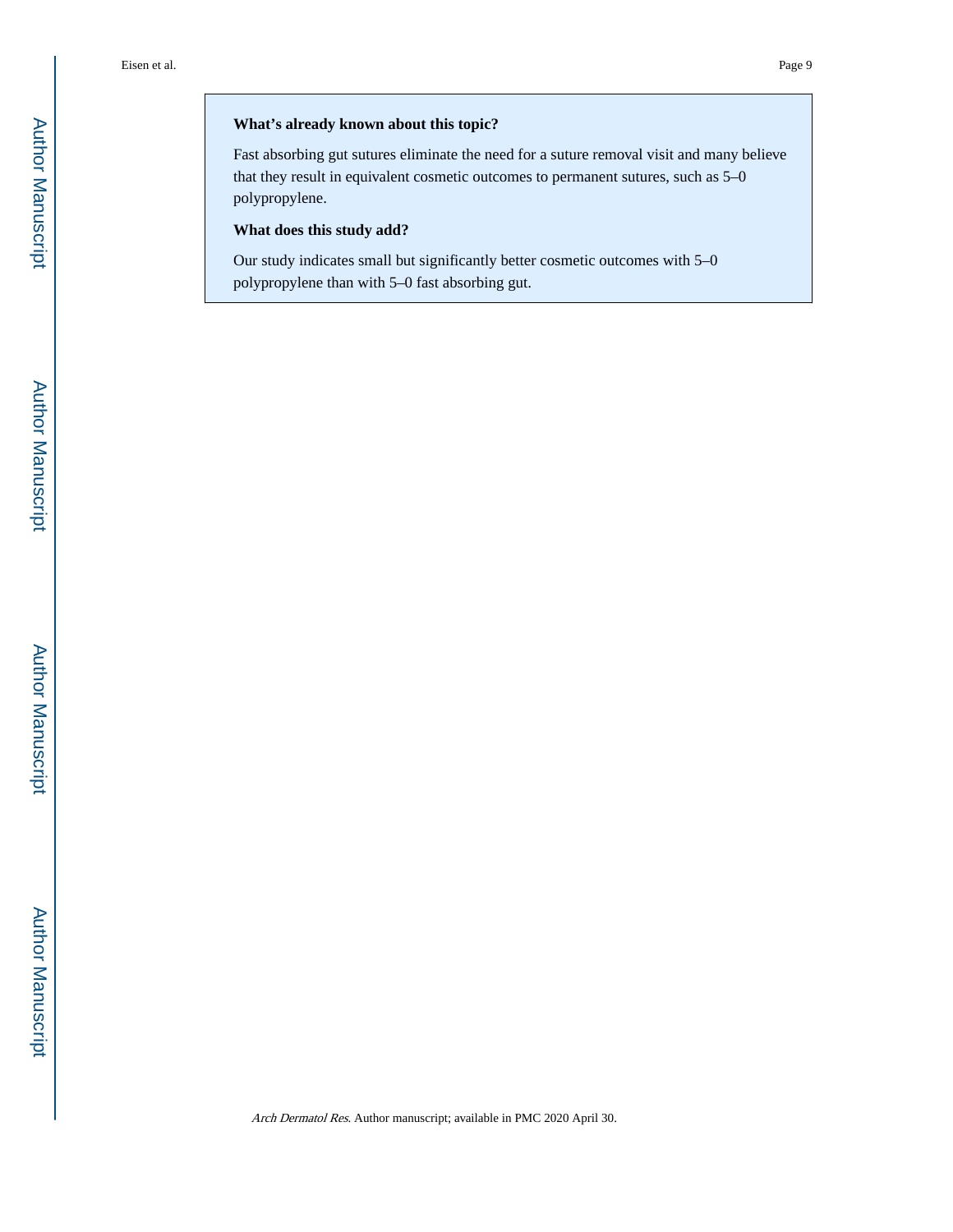#### **What's already known about this topic?**

Fast absorbing gut sutures eliminate the need for a suture removal visit and many believe that they result in equivalent cosmetic outcomes to permanent sutures, such as 5–0 polypropylene.

#### **What does this study add?**

Our study indicates small but significantly better cosmetic outcomes with 5–0 polypropylene than with 5–0 fast absorbing gut.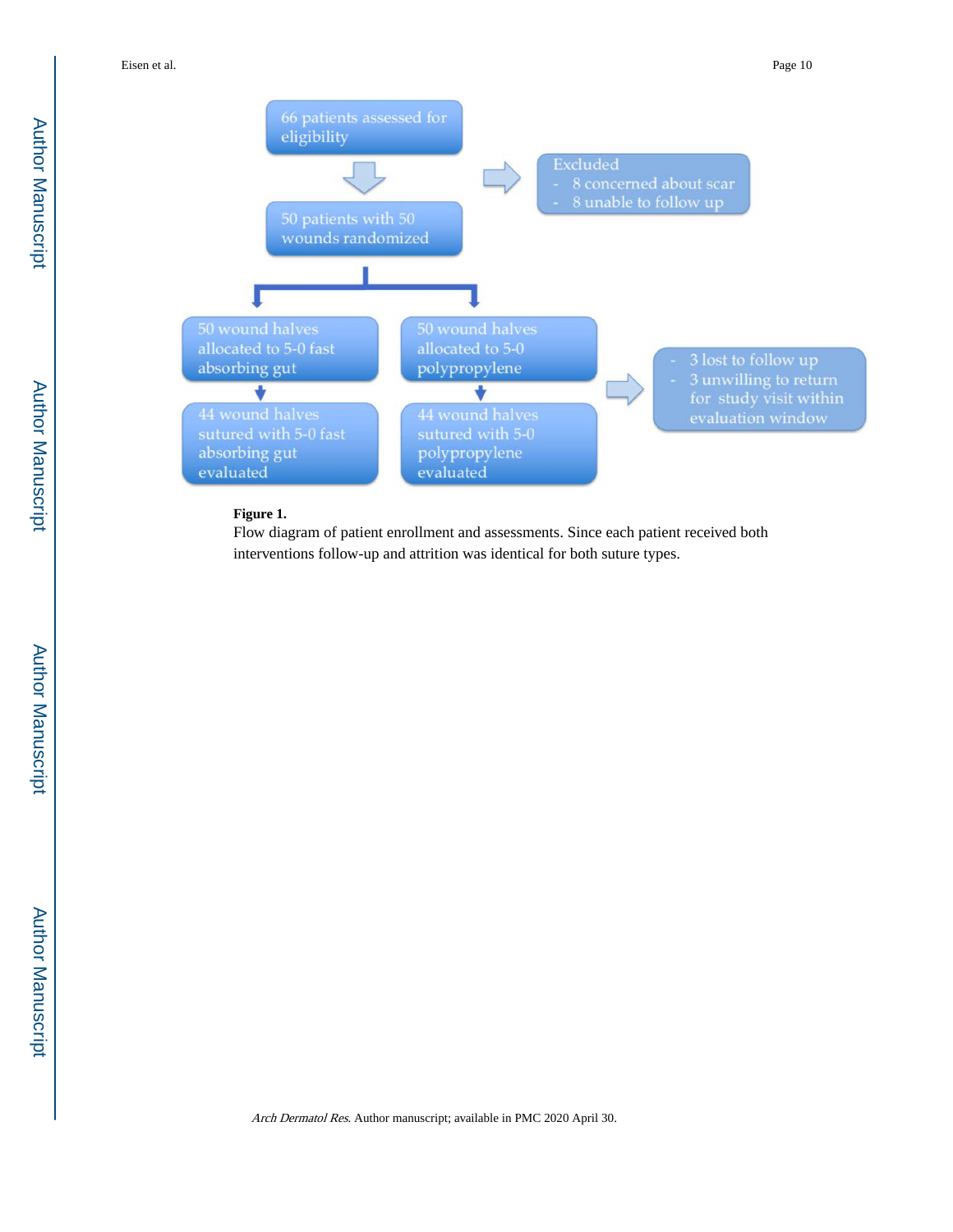Eisen et al. Page 10



### **Figure 1.**

Flow diagram of patient enrollment and assessments. Since each patient received both interventions follow-up and attrition was identical for both suture types.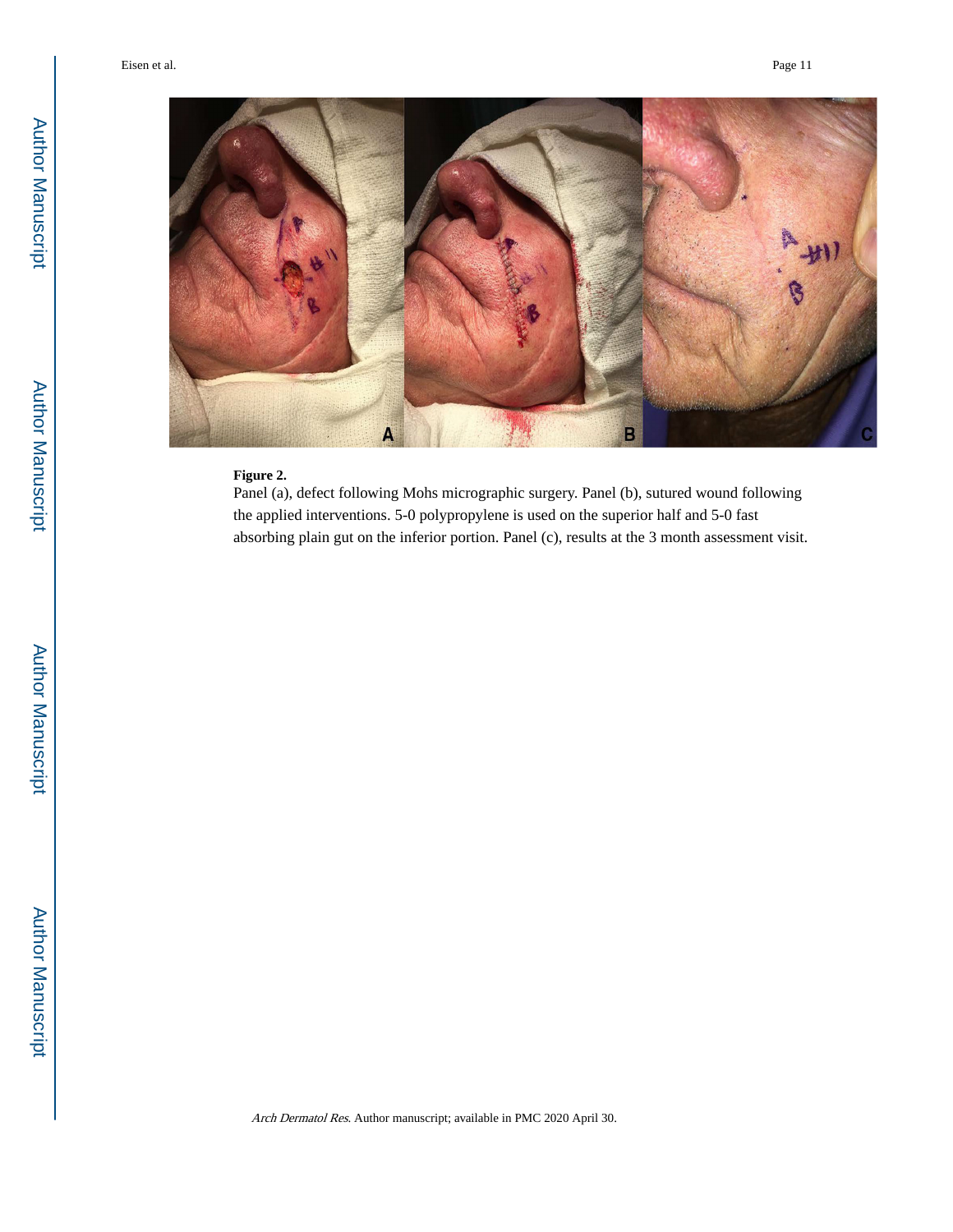

#### **Figure 2.**

Panel (a), defect following Mohs micrographic surgery. Panel (b), sutured wound following the applied interventions. 5-0 polypropylene is used on the superior half and 5-0 fast absorbing plain gut on the inferior portion. Panel (c), results at the 3 month assessment visit.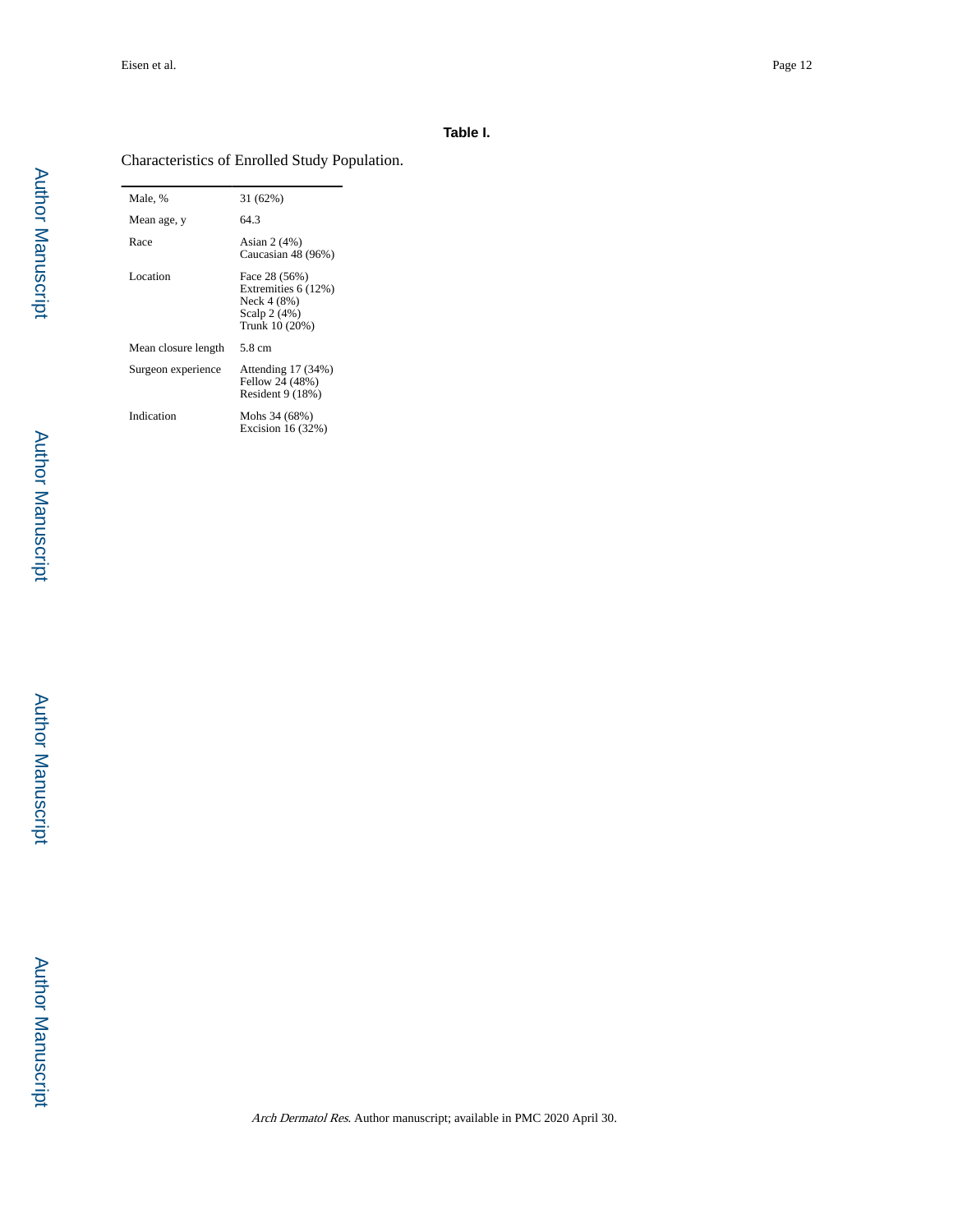#### **Table I.**

#### Characteristics of Enrolled Study Population.

Male, % 31 (62%) Mean age, y 64.3 Race Asian 2 (4%) Caucasian 48 (96%) Location Face 28 (56%) Extremities 6 (12%) Neck 4 (8%) Scalp 2 (4%) Trunk 10 (20%) Mean closure length 5.8 cm Surgeon experience Attending 17 (34%) Fellow 24 (48%) Resident 9 (18%) Indication Mohs 34 (68%) Excision 16 (32%)